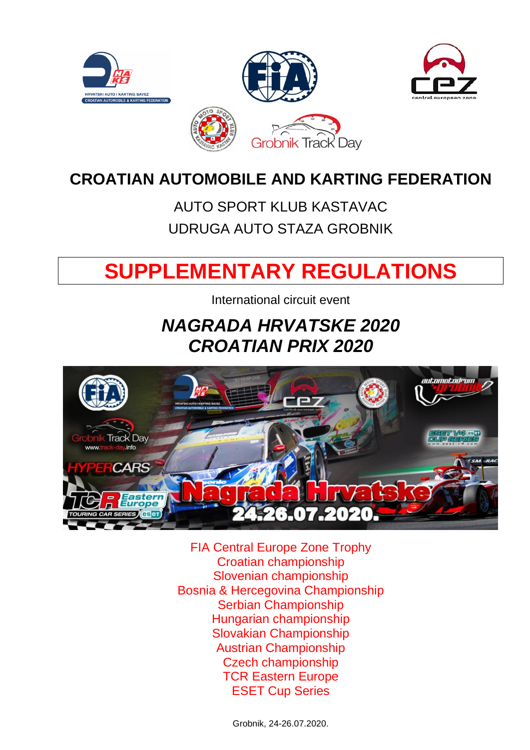

# **CROATIAN AUTOMOBILE AND KARTING FEDERATION**

# AUTO SPORT KLUB KASTAVAC UDRUGA AUTO STAZA GROBNIK

# **SUPPLEMENTARY REGULATIONS**

International circuit event

# *NAGRADA HRVATSKE 2020 CROATIAN PRIX 2020*



FIA Central Europe Zone Trophy Croatian championship Slovenian championship Bosnia & Hercegovina Championship Serbian Championship Hungarian championship Slovakian Championship Austrian Championship Czech championship TCR Eastern Europe ESET Cup Series

Grobnik, 24-26.07.2020.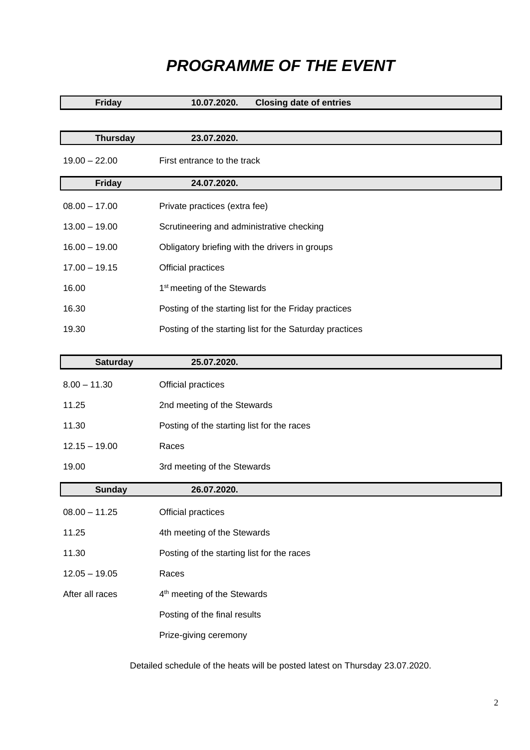## *PROGRAMME OF THE EVENT*

| <b>Friday</b>   | <b>Closing date of entries</b><br>10.07.2020.           |
|-----------------|---------------------------------------------------------|
|                 |                                                         |
| <b>Thursday</b> | 23.07.2020.                                             |
| $19.00 - 22.00$ | First entrance to the track                             |
| <b>Friday</b>   | 24.07.2020.                                             |
| $08.00 - 17.00$ | Private practices (extra fee)                           |
| $13.00 - 19.00$ | Scrutineering and administrative checking               |
| $16.00 - 19.00$ | Obligatory briefing with the drivers in groups          |
| $17.00 - 19.15$ | Official practices                                      |
| 16.00           | 1 <sup>st</sup> meeting of the Stewards                 |
| 16.30           | Posting of the starting list for the Friday practices   |
| 19.30           | Posting of the starting list for the Saturday practices |

| <b>Saturday</b> | 25.07.2020.                                |
|-----------------|--------------------------------------------|
| $8.00 - 11.30$  | Official practices                         |
| 11.25           | 2nd meeting of the Stewards                |
| 11.30           | Posting of the starting list for the races |
| $12.15 - 19.00$ | Races                                      |
| 19.00           | 3rd meeting of the Stewards                |
| <b>Sunday</b>   | 26.07.2020.                                |
| $08.00 - 11.25$ | Official practices                         |
| 11.25           | 4th meeting of the Stewards                |
| 11.30           | Posting of the starting list for the races |
| $12.05 - 19.05$ | Races                                      |
| After all races | 4 <sup>th</sup> meeting of the Stewards    |
|                 | Posting of the final results               |
|                 | Prize-giving ceremony                      |

Detailed schedule of the heats will be posted latest on Thursday 23.07.2020.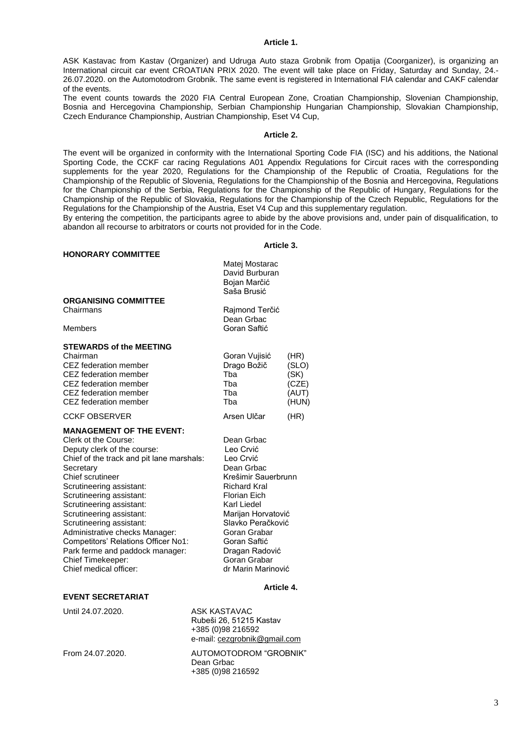#### **Article 1.**

ASK Kastavac from Kastav (Organizer) and Udruga Auto staza Grobnik from Opatija (Coorganizer), is organizing an International circuit car event CROATIAN PRIX 2020. The event will take place on Friday, Saturday and Sunday, 24.- 26.07.2020. on the Automotodrom Grobnik. The same event is registered in International FIA calendar and CAKF calendar of the events.

The event counts towards the 2020 FIA Central European Zone, Croatian Championship, Slovenian Championship, Bosnia and Hercegovina Championship, Serbian Championship Hungarian Championship, Slovakian Championship, Czech Endurance Championship, Austrian Championship, Eset V4 Cup,

#### **Article 2.**

The event will be organized in conformity with the International Sporting Code FIA (ISC) and his additions, the National Sporting Code, the CCKF car racing Regulations A01 Appendix Regulations for Circuit races with the corresponding supplements for the year 2020, Regulations for the Championship of the Republic of Croatia, Regulations for the Championship of the Republic of Slovenia, Regulations for the Championship of the Bosnia and Hercegovina, Regulations for the Championship of the Serbia, Regulations for the Championship of the Republic of Hungary, Regulations for the Championship of the Republic of Slovakia, Regulations for the Championship of the Czech Republic, Regulations for the Regulations for the Championship of the Austria, Eset V4 Cup and this supplementary regulation.

By entering the competition, the participants agree to abide by the above provisions and, under pain of disqualification, to abandon all recourse to arbitrators or courts not provided for in the Code.

#### **Article 3.**

|                                                                                                                                                                                                                                                                                                                                                                                                                                                                                                            | Matej Mostarac<br>David Burburan<br>Bojan Marčić<br>Saša Brusić                                                                                                                                                                                                                   |                                                  |
|------------------------------------------------------------------------------------------------------------------------------------------------------------------------------------------------------------------------------------------------------------------------------------------------------------------------------------------------------------------------------------------------------------------------------------------------------------------------------------------------------------|-----------------------------------------------------------------------------------------------------------------------------------------------------------------------------------------------------------------------------------------------------------------------------------|--------------------------------------------------|
| <b>ORGANISING COMMITTEE</b><br>Chairmans                                                                                                                                                                                                                                                                                                                                                                                                                                                                   | Rajmond Terčić<br>Dean Grbac                                                                                                                                                                                                                                                      |                                                  |
| Members<br><b>STEWARDS of the MEETING</b><br>Chairman<br>CEZ federation member<br>CEZ federation member<br>CEZ federation member<br>CEZ federation member<br>CEZ federation member                                                                                                                                                                                                                                                                                                                         | Goran Saftić<br>Goran Vujisić<br>Drago Božič<br>Tba<br>Tba<br>Tba<br>Tba                                                                                                                                                                                                          | (HR)<br>(SLO)<br>(SK)<br>(CZE)<br>(AUT)<br>(HUN) |
| <b>CCKF OBSERVER</b><br><b>MANAGEMENT OF THE EVENT:</b><br>Clerk ot the Course:<br>Deputy clerk of the course:<br>Chief of the track and pit lane marshals:<br>Secretary<br><b>Chief scrutineer</b><br>Scrutineering assistant:<br>Scrutineering assistant:<br>Scrutineering assistant:<br>Scrutineering assistant:<br>Scrutineering assistant:<br>Administrative checks Manager:<br>Competitors' Relations Officer No1:<br>Park ferme and paddock manager:<br>Chief Timekeeper:<br>Chief medical officer: | Arsen Ulčar<br>Dean Grbac<br>Leo Crvić<br>Leo Crvić<br>Dean Grbac<br>Krešimir Sauerbrunn<br><b>Richard Kral</b><br>Florian Eich<br>Karl Liedel<br>Marijan Horvatović<br>Slavko Peračković<br>Goran Grabar<br>Goran Saftić<br>Dragan Radović<br>Goran Grabar<br>dr Marin Marinović | (HR)                                             |
|                                                                                                                                                                                                                                                                                                                                                                                                                                                                                                            | $A$ rtiolo $A$                                                                                                                                                                                                                                                                    |                                                  |

#### **Article 4.**

#### **EVENT SECRETARIAT**

**HONORARY COMMITTEE**

Until 24.07.2020. ASK KASTAVAC Rubeši 26, 51215 Kastav +385 (0)98 216592 e-mail[: cezgrobnik@gmail.com](mailto:info@track-day.info) From 24.07.2020. AUTOMOTODROM "GROBNIK" Dean Grbac +385 (0)98 216592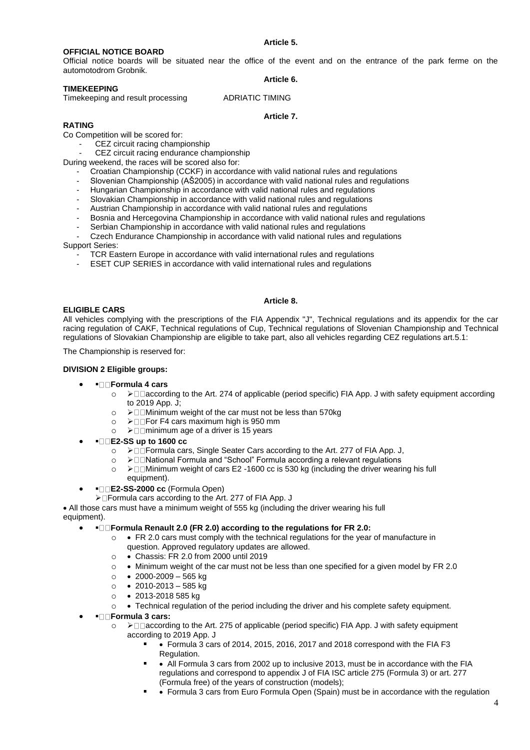#### **OFFICIAL NOTICE BOARD**

Official notice boards will be situated near the office of the event and on the entrance of the park ferme on the automotodrom Grobnik.

#### **TIMEKEEPING**

Timekeeping and result processing ADRIATIC TIMING

**Article 6.**

#### **Article 7.**

### **RATING**

Co Competition will be scored for:

CEZ circuit racing championship CEZ circuit racing endurance championship

During weekend, the races will be scored also for:

- Croatian Championship (CCKF) in accordance with valid national rules and regulations
- Slovenian Championship (AŠ2005) in accordance with valid national rules and regulations
- Hungarian Championship in accordance with valid national rules and regulations
- Slovakian Championship in accordance with valid national rules and regulations
- Austrian Championship in accordance with valid national rules and regulations
- Bosnia and Hercegovina Championship in accordance with valid national rules and regulations
- Serbian Championship in accordance with valid national rules and regulations

Czech Endurance Championship in accordance with valid national rules and regulations

#### Support Series:

- TCR Eastern Europe in accordance with valid international rules and regulations
- ESET CUP SERIES in accordance with valid international rules and regulations

#### **ELIGIBLE CARS**

All vehicles complying with the prescriptions of the FIA Appendix "J", Technical regulations and its appendix for the car racing regulation of CAKF, Technical regulations of Cup, Technical regulations of Slovenian Championship and Technical regulations of Slovakian Championship are eligible to take part, also all vehicles regarding CEZ regulations art.5.1:

**Article 8.**

The Championship is reserved for:

#### **DIVISION 2 Eligible groups:**

- ▪ **Formula 4 cars** 
	- o ➢ according to the Art. 274 of applicable (period specific) FIA App. J with safety equipment according to 2019 App. J;
	- $\circ$  >  $\square$  Minimum weight of the car must not be less than 570kg
	- o **≻**□ For F4 cars maximum high is 950 mm
	- $\circ$  >  $\Box$  minimum age of a driver is 15 years
- ▪ **E2-SS up to 1600 cc** 
	- o ➢ Formula cars, Single Seater Cars according to the Art. 277 of FIA App. J,
	- o ➢ National Formula and "School" Formula according a relevant regulations
	- o > □ Minimum weight of cars E2 -1600 cc is 530 kg (including the driver wearing his full equipment).
- **E2-SS-2000 cc** (Formula Open)

➢ Formula cars according to the Art. 277 of FIA App. J

• All those cars must have a minimum weight of 555 kg (including the driver wearing his full equipment).

- ▪ **Formula Renault 2.0 (FR 2.0) according to the regulations for FR 2.0:** 
	- $\circ \bullet$  FR 2.0 cars must comply with the technical regulations for the year of manufacture in question. Approved regulatory updates are allowed.
	- o Chassis: FR 2.0 from 2000 until 2019
	- $\circ$  Minimum weight of the car must not be less than one specified for a given model by FR 2.0
	- $\circ$   $\bullet$  2000-2009 565 kg
	- $\circ$  2010-2013 585 kg
	- o 2013-2018 585 kg
	- $\circ \bullet$  Technical regulation of the period including the driver and his complete safety equipment.

#### • ▪ **Formula 3 cars:**

- o ≻□□ according to the Art. 275 of applicable (period specific) FIA App. J with safety equipment according to 2019 App. J
	- • Formula 3 cars of 2014, 2015, 2016, 2017 and 2018 correspond with the FIA F3 Regulation.
	- ● All Formula 3 cars from 2002 up to inclusive 2013, must be in accordance with the FIA regulations and correspond to appendix J of FIA ISC article 275 (Formula 3) or art. 277 (Formula free) of the years of construction (models);
	- • Formula 3 cars from Euro Formula Open (Spain) must be in accordance with the regulation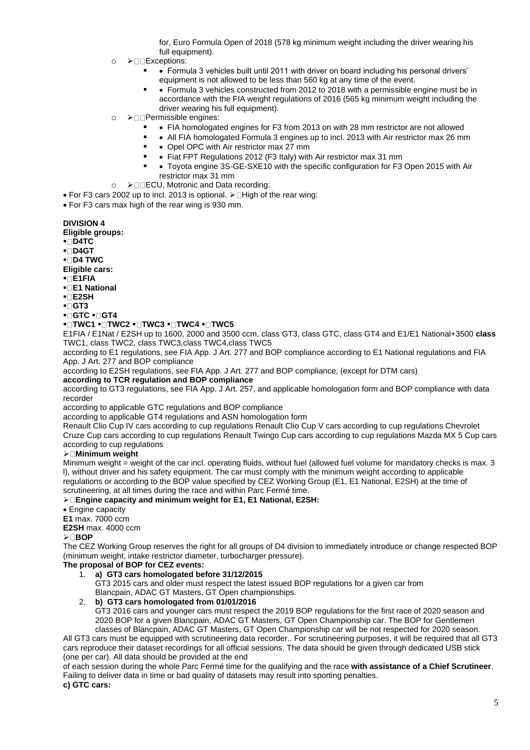for, Euro Formula Open of 2018 (578 kg minimum weight including the driver wearing his full equipment).

- o **>**□□Exceptions:
	- Formula 3 vehicles built until 2011 with driver on board including his personal drivers' equipment is not allowed to be less than 560 kg at any time of the event.
	- • Formula 3 vehicles constructed from 2012 to 2018 with a permissible engine must be in accordance with the FIA weight regulations of 2016 (565 kg minimum weight including the driver wearing his full equipment).
- o ➢ Permissible engines:
	- FIA homologated engines for F3 from 2013 on with 28 mm restrictor are not allowed
	- ● All FIA homologated Formula 3 engines up to incl. 2013 with Air restrictor max 26 mm
	- • Opel OPC with Air restrictor max 27 mm
	- • Fiat FPT Regulations 2012 (F3 Italy) with Air restrictor max 31 mm
	- Toyota engine 3S-GE-SXE10 with the specific configuration for F3 Open 2015 with Air restrictor max 31 mm
- o >□ECU, Motronic and Data recording:
- For F3 cars 2002 up to incl. 2013 is optional.  $\triangleright \Box$  High of the rear wing:

• For F3 cars max high of the rear wing is 930 mm.

#### **DIVISION 4**

**Eligible groups:** 

- **D4TC**
- **D4GT**
- **D4 TWC**

**Eligible cars:** 

- **E1FIA**
- **E1 National**
- **E2SH**
- **GT3**
- **▪□ GTC ▪□ GT4**

#### ▪ **TWC1** ▪ **TWC2** ▪ **TWC3** ▪ **TWC4** ▪ **TWC5**

E1FIA / E1Nat / E2SH up to 1600, 2000 and 3500 ccm, class GT3, class GTC, class GT4 and E1/E1 National+3500 **class**  TWC1, class TWC2, class TWC3,class TWC4,class TWC5

according to E1 regulations, see FIA App. J Art. 277 and BOP compliance according to E1 National regulations and FIA App. J Art. 277 and BOP compliance

according to E2SH regulations, see FIA App. J Art. 277 and BOP compliance, (except for DTM cars)

#### **according to TCR regulation and BOP compliance**

according to GT3 regulations, see FIA App. J Art. 257, and applicable homologation form and BOP compliance with data recorder

according to applicable GTC regulations and BOP compliance

according to applicable GT4 regulations and ASN homologation form

Renault Clio Cup IV cars according to cup regulations Renault Clio Cup V cars according to cup regulations Chevrolet Cruze Cup cars according to cup regulations Renault Twingo Cup cars according to cup regulations Mazda MX 5 Cup cars according to cup regulations

#### ➢ **Minimum weight**

Minimum weight = weight of the car incl. operating fluids, without fuel (allowed fuel volume for mandatory checks is max. 3 l), without driver and his safety equipment. The car must comply with the minimum weight according to applicable regulations or according to the BOP value specified by CEZ Working Group (E1, E1 National, E2SH) at the time of scrutineering, at all times during the race and within Parc Fermé time.

➢ **Engine capacity and minimum weight for E1, E1 National, E2SH:** 

• Engine capacity

**E1** max. 7000 ccm

**E2SH** max. 4000 ccm

#### ➢ **BOP**

The CEZ Working Group reserves the right for all groups of D4 division to immediately introduce or change respected BOP (minimum weight, intake restrictor diameter, turbocharger pressure).

#### **The proposal of BOP for CEZ events:**

1. **a) GT3 cars homologated before 31/12/2015**  GT3 2015 cars and older must respect the latest issued BOP regulations for a given car from Blancpain, ADAC GT Masters, GT Open championships.

#### 2. **b) GT3 cars homologated from 01/01/2016**

GT3 2016 cars and younger cars must respect the 2019 BOP regulations for the first race of 2020 season and 2020 BOP for a given Blancpain, ADAC GT Masters, GT Open Championship car. The BOP for Gentlemen classes of Blancpain, ADAC GT Masters, GT Open Championship car will be not respected for 2020 season.

All GT3 cars must be equipped with scrutineering data recorder.. For scrutineering purposes, it will be required that all GT3 cars reproduce their dataset recordings for all official sessions. The data should be given through dedicated USB stick (one per car). All data should be provided at the end

of each session during the whole Parc Fermé time for the qualifying and the race **with assistance of a Chief Scrutineer**. Failing to deliver data in time or bad quality of datasets may result into sporting penalties. **c) GTC cars:**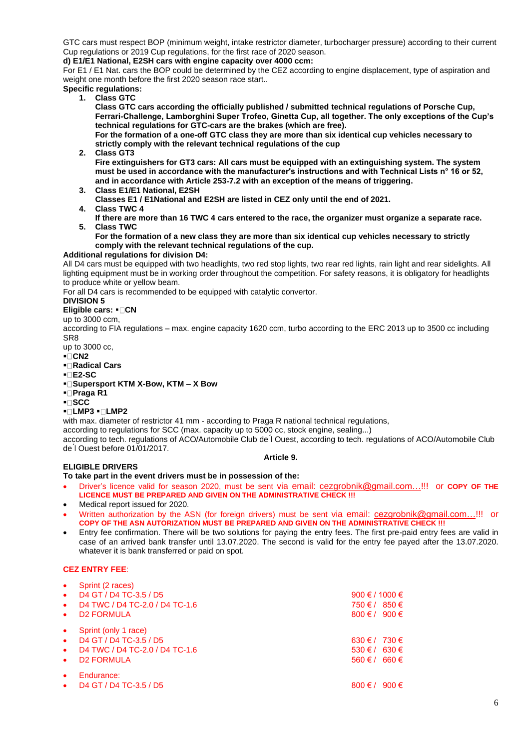GTC cars must respect BOP (minimum weight, intake restrictor diameter, turbocharger pressure) according to their current Cup regulations or 2019 Cup regulations, for the first race of 2020 season.

#### **d) E1/E1 National, E2SH cars with engine capacity over 4000 ccm:**

For E1 / E1 Nat. cars the BOP could be determined by the CEZ according to engine displacement, type of aspiration and weight one month before the first 2020 season race start..

#### **Specific regulations:**

**1. Class GTC** 

**Class GTC cars according the officially published / submitted technical regulations of Porsche Cup, Ferrari-Challenge, Lamborghini Super Trofeo, Ginetta Cup, all together. The only exceptions of the Cup's technical regulations for GTC-cars are the brakes (which are free).**

**For the formation of a one-off GTC class they are more than six identical cup vehicles necessary to strictly comply with the relevant technical regulations of the cup** 

**2. Class GT3**

**Fire extinguishers for GT3 cars: All cars must be equipped with an extinguishing system. The system must be used in accordance with the manufacturer's instructions and with Technical Lists n° 16 or 52, and in accordance with Article 253**‐**7.2 with an exception of the means of triggering.** 

- **3. Class E1/E1 National, E2SH Classes E1 / E1National and E2SH are listed in CEZ only until the end of 2021.**
- **4. Class TWC 4**
- **If there are more than 16 TWC 4 cars entered to the race, the organizer must organize a separate race. 5. Class TWC**

#### **For the formation of a new class they are more than six identical cup vehicles necessary to strictly comply with the relevant technical regulations of the cup.**

#### **Additional regulations for division D4:**

All D4 cars must be equipped with two headlights, two red stop lights, two rear red lights, rain light and rear sidelights. All lighting equipment must be in working order throughout the competition. For safety reasons, it is obligatory for headlights to produce white or yellow beam.

For all D4 cars is recommended to be equipped with catalytic convertor.

#### **DIVISION 5**

**Eligible cars: ⋅□ CN** 

#### up to 3000 ccm,

according to FIA regulations – max. engine capacity 1620 ccm, turbo according to the ERC 2013 up to 3500 cc including SR8

- up to 3000 cc,
- **CN2**
- **Radical Cars**
- **E2-SC**
- **Supersport KTM X-Bow, KTM – X Bow**
- **Praga R1**
- **SCC**
- **LMP3 LMP2**

with max. diameter of restrictor 41 mm - according to Praga R national technical regulations,

according to regulations for SCC (max. capacity up to 5000 cc, stock engine, sealing...)

according to tech. regulations of ACO/Automobile Club de ́l Ouest, according to tech. regulations of ACO/Automobile Club de ́l Ouest before 01/01/2017.

#### **ELIGIBLE DRIVERS**

#### **Article 9.**

**To take part in the event drivers must be in possession of the:**

- Driver's licence valid for season 2020, must be sent via email: [cezgrobnik@gmail.com…!](mailto:cezgrobnik@gmail.com…)!! or **COPY OF THE LICENCE MUST BE PREPARED AND GIVEN ON THE ADMINISTRATIVE CHECK !!!**
- Medical report issued for 2020.
- Written authorization by the ASN (for foreign drivers) must be sent via email: [cezgrobnik@gmail.com…!](mailto:cezgrobnik@gmail.com…)!! or **COPY OF THE ASN AUTORIZATION MUST BE PREPARED AND GIVEN ON THE ADMINISTRATIVE CHECK !!!**
- Entry fee confirmation. There will be two solutions for paying the entry fees. The first pre-paid entry fees are valid in case of an arrived bank transfer until 13.07.2020. The second is valid for the entry fee payed after the 13.07.2020. whatever it is bank transferred or paid on spot.

#### **CEZ ENTRY FEE**:

| $\bullet$ | Sprint (2 races)                                                         |                            |                |
|-----------|--------------------------------------------------------------------------|----------------------------|----------------|
| $\bullet$ | D4 GT / D4 TC-3.5 / D5                                                   | 900 € / 1000 €             |                |
| $\bullet$ | D4 TWC / D4 TC-2.0 / D4 TC-1.6                                           | 750 € / 850 €              |                |
| $\bullet$ | <b>D2 FORMULA</b>                                                        | $800 \text{ } \in I$ 900 € |                |
| $\bullet$ | Sprint (only 1 race)                                                     |                            |                |
| $\bullet$ | D <sub>4</sub> GT / D <sub>4</sub> TC-3.5 / D <sub>5</sub>               | 630 € / 730 €              |                |
| $\bullet$ | D4 TWC / D4 TC-2.0 / D4 TC-1.6                                           | $530 \text{ } \in I$ 630 € |                |
| $\bullet$ | <b>D2 FORMULA</b>                                                        | $560 \in I$ 660 €          |                |
|           | Endurance:<br>D <sub>4</sub> GT / D <sub>4</sub> TC-3.5 / D <sub>5</sub> | $800 \text{ } \in I$       | 900 $\epsilon$ |
|           |                                                                          |                            |                |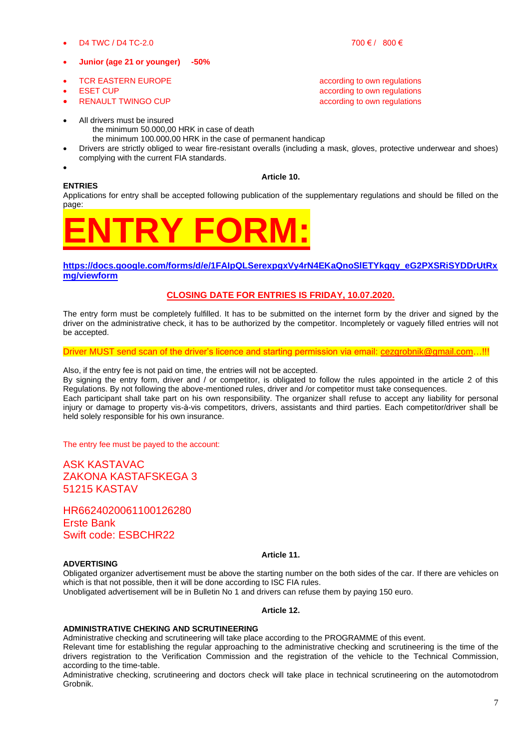D4 TWC / D4 TC-2.0 700 € / 800 €

### • **Junior (age 21 or younger) -50%**

- **FIGRE EASTERN EUROPE according to own regulations**
- **ESET CUP EXECUP ESET CUP EXECUP EXECUP EXECUTE:**
- **RENAULT TWINGO CUP according to own regulations**
- All drivers must be insured the minimum 50.000,00 HRK in case of death
	- the minimum 100.000,00 HRK in the case of permanent handicap
- Drivers are strictly obliged to wear fire-resistant overalls (including a mask, gloves, protective underwear and shoes) complying with the current FIA standards.
- •

#### **Article 10.**

#### **ENTRIES**

Applications for entry shall be accepted following publication of the supplementary regulations and should be filled on the page:



#### **[https://docs.google.com/forms/d/e/1FAIpQLSerexpgxVy4rN4EKaQnoSlETYkgqy\\_eG2PXSRiSYDDrUtRx](https://docs.google.com/forms/d/e/1FAIpQLSerexpgxVy4rN4EKaQnoSlETYkgqy_eG2PXSRiSYDDrUtRxmg/viewform) [mg/viewform](https://docs.google.com/forms/d/e/1FAIpQLSerexpgxVy4rN4EKaQnoSlETYkgqy_eG2PXSRiSYDDrUtRxmg/viewform)**

#### **CLOSING DATE FOR ENTRIES IS FRIDAY, 10.07.2020.**

The entry form must be completely fulfilled. It has to be submitted on the internet form by the driver and signed by the driver on the administrative check, it has to be authorized by the competitor. Incompletely or vaguely filled entries will not be accepted.

Driver MUST send scan of the driver's licence and starting permission via email: [cezgrobnik@gmail.com…](mailto:info@track-day.info)!!!

Also, if the entry fee is not paid on time, the entries will not be accepted.

By signing the entry form, driver and / or competitor, is obligated to follow the rules appointed in the article 2 of this Regulations. By not following the above-mentioned rules, driver and /or competitor must take consequences. Each participant shall take part on his own responsibility. The organizer shall refuse to accept any liability for personal injury or damage to property vis-à-vis competitors, drivers, assistants and third parties. Each competitor/driver shall be

The entry fee must be payed to the account:

held solely responsible for his own insurance.

ASK KASTAVAC ZAKONA KASTAFSKEGA 3 51215 KASTAV

HR6624020061100126280 Erste Bank Swift code: ESBCHR22

#### **ADVERTISING**

#### **Article 11.**

Obligated organizer advertisement must be above the starting number on the both sides of the car. If there are vehicles on which is that not possible, then it will be done according to ISC FIA rules.

Unobligated advertisement will be in Bulletin No 1 and drivers can refuse them by paying 150 euro.

#### **Article 12.**

#### **ADMINISTRATIVE CHEKING AND SCRUTINEERING**

Administrative checking and scrutineering will take place according to the PROGRAMME of this event.

Relevant time for establishing the regular approaching to the administrative checking and scrutineering is the time of the drivers registration to the Verification Commission and the registration of the vehicle to the Technical Commission, according to the time-table.

Administrative checking, scrutineering and doctors check will take place in technical scrutineering on the automotodrom Grobnik.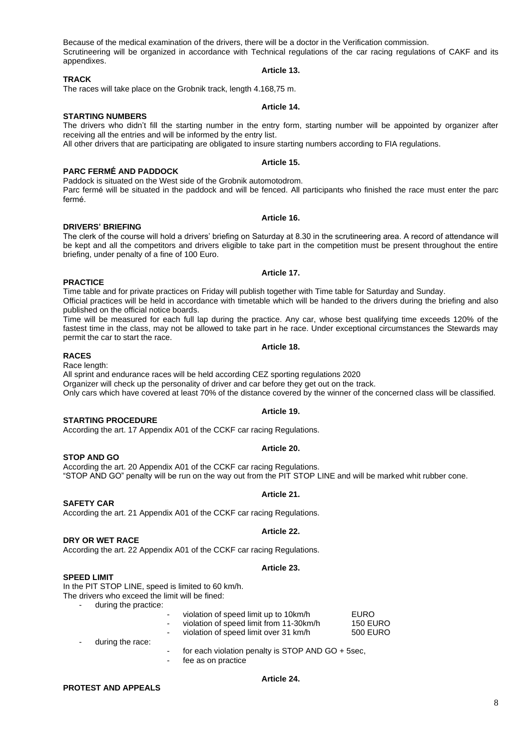Because of the medical examination of the drivers, there will be a doctor in the Verification commission. Scrutineering will be organized in accordance with Technical regulations of the car racing regulations of CAKF and its appendixes. **Article 13.**

#### **TRACK**

The races will take place on the Grobnik track, length 4.168,75 m.

### **STARTING NUMBERS**

The drivers who didn't fill the starting number in the entry form, starting number will be appointed by organizer after receiving all the entries and will be informed by the entry list.

All other drivers that are participating are obligated to insure starting numbers according to FIA regulations.

### **PARC FERMÉ AND PADDOCK**

Paddock is situated on the West side of the Grobnik automotodrom. Parc fermé will be situated in the paddock and will be fenced. All participants who finished the race must enter the parc fermé.

**DRIVERS' BRIEFING** The clerk of the course will hold a drivers' briefing on Saturday at 8.30 in the scrutineering area. A record of attendance will be kept and all the competitors and drivers eligible to take part in the competition must be present throughout the entire briefing, under penalty of a fine of 100 Euro.

**PRACTICE**

Time table and for private practices on Friday will publish together with Time table for Saturday and Sunday. Official practices will be held in accordance with timetable which will be handed to the drivers during the briefing and also published on the official notice boards.

Time will be measured for each full lap during the practice. Any car, whose best qualifying time exceeds 120% of the fastest time in the class, may not be allowed to take part in he race. Under exceptional circumstances the Stewards may permit the car to start the race.

#### **RACES**

Race length:

All sprint and endurance races will be held according CEZ sporting regulations 2020 Organizer will check up the personality of driver and car before they get out on the track. Only cars which have covered at least 70% of the distance covered by the winner of the concerned class will be classified.

**Article 19.**

#### **STARTING PROCEDURE**

According the art. 17 Appendix A01 of the CCKF car racing Regulations.

#### **Article 20.**

**STOP AND GO**

According the art. 20 Appendix A01 of the CCKF car racing Regulations. "STOP AND GO" penalty will be run on the way out from the PIT STOP LINE and will be marked whit rubber cone.

#### **Article 21.**

**Article 22.**

#### **SAFETY CAR**

According the art. 21 Appendix A01 of the CCKF car racing Regulations.

#### **DRY OR WET RACE**

According the art. 22 Appendix A01 of the CCKF car racing Regulations.

#### **Article 23.**

#### **SPEED LIMIT**

In the PIT STOP LINE, speed is limited to 60 km/h.

The drivers who exceed the limit will be fined:

during the practice:

|           | ٠ | violation of speed limit up to 10km/h   | EURO            |
|-----------|---|-----------------------------------------|-----------------|
|           | ٠ | violation of speed limit from 11-30km/h | <b>150 EURO</b> |
|           | ٠ | violation of speed limit over 31 km/h   | <b>500 EURO</b> |
| $\ddotsc$ |   |                                         |                 |

**Article 24.**

### during the race: for each violation penalty is STOP AND GO + 5sec,

fee as on practice

#### **PROTEST AND APPEALS**

#### **Article 14.**

## **Article 15.**

## **Article 16.**

#### **Article 17.**

## **Article 18.**